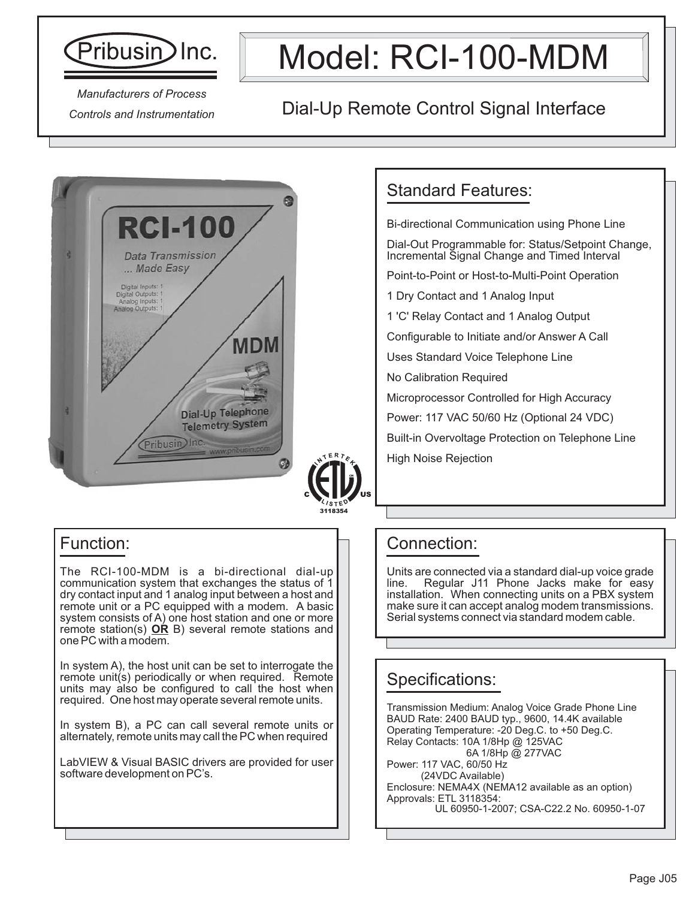

# Model: RCI-100-MDM

*Manufacturers of Process Controls and Instrumentation*

### Dial-Up Remote Control Signal Interface



#### Function:

The RCI-100-MDM is a bi-directional dial-up communication system that exchanges the status of 1 dry contact input and 1 analog input between a host and remote unit or a PC equipped with a modem. A basic system consists of A) one host station and one or more remote station(s) **OR** B) several remote stations and one PC with a modem.

In system A), the host unit can be set to interrogate the remote unit(s) periodically or when required. Remote units may also be configured to call the host when required. One host may operate several remote units.

In system B), a PC can call several remote units or alternately, remote units may call the PC when required

LabVIEW & Visual BASIC drivers are provided for user software development on PC's.

### Standard Features:

Bi-directional Communication using Phone Line

Dial-Out Programmable for: Status/Setpoint Change, Incremental Signal Change and Timed Interval

Point-to-Point or Host-to-Multi-Point Operation

1 Dry Contact and 1 Analog Input

1 'C' Relay Contact and 1 Analog Output

Configurable to Initiate and/or Answer A Call

Uses Standard Voice Telephone Line

No Calibration Required

Microprocessor Controlled for High Accuracy

Power: 117 VAC 50/60 Hz (Optional 24 VDC)

Built-in Overvoltage Protection on Telephone Line

High Noise Rejection

#### Connection:

Units are connected via a standard dial-up voice grade Regular J11 Phone Jacks make for easy installation. When connecting units on a PBX system make sure it can accept analog modem transmissions. Serial systems connect via standard modem cable.

### Specifications:

Transmission Medium: Analog Voice Grade Phone Line BAUD Rate: 2400 BAUD typ., 9600, 14.4K available Operating Temperature: -20 Deg.C. to +50 Deg.C. Relay Contacts: 10A 1/8Hp @ 125VAC 6A 1/8Hp @ 277VAC Power: 117 VAC, 60/50 Hz

(24VDC Available) Enclosure: NEMA4X (NEMA12 available as an option) Approvals: ETL 3118354: UL 60950-1-2007; CSA-C22.2 No. 60950-1-07